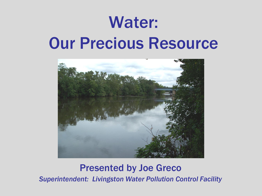# Water: Our Precious Resource



#### Presented by Joe Greco

*Superintendent: Livingston Water Pollution Control Facility*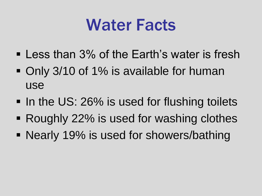## Water Facts

- **Less than 3% of the Earth's water is fresh**
- Only 3/10 of 1% is available for human use
- In the US: 26% is used for flushing toilets
- Roughly 22% is used for washing clothes
- Nearly 19% is used for showers/bathing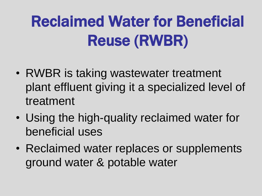# Reclaimed Water for Beneficial Reuse (RWBR)

- RWBR is taking wastewater treatment plant effluent giving it a specialized level of treatment
- Using the high-quality reclaimed water for beneficial uses
- Reclaimed water replaces or supplements ground water & potable water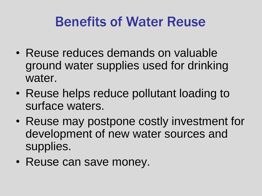### Benefits of Water Reuse

- Reuse reduces demands on valuable ground water supplies used for drinking water.
- Reuse helps reduce pollutant loading to surface waters.
- Reuse may postpone costly investment for development of new water sources and supplies.
- Reuse can save money.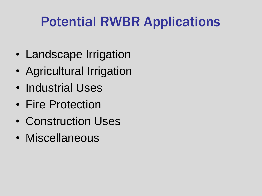## Potential RWBR Applications

- Landscape Irrigation
- Agricultural Irrigation
- Industrial Uses
- Fire Protection
- Construction Uses
- Miscellaneous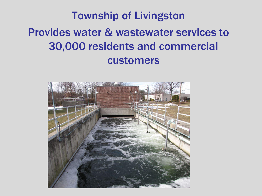#### Township of Livingston Provides water & wastewater services to 30,000 residents and commercial customers

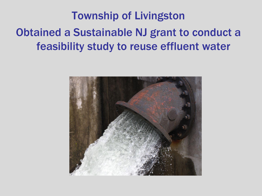#### Township of Livingston Obtained a Sustainable NJ grant to conduct a feasibility study to reuse effluent water

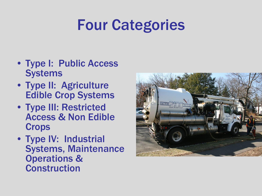## Four Categories

- Type I: Public Access **Systems**
- Type II: Agriculture Edible Crop Systems
- Type III: Restricted Access & Non Edible **Crops**
- Type IV: Industrial Systems, Maintenance Operations & Construction